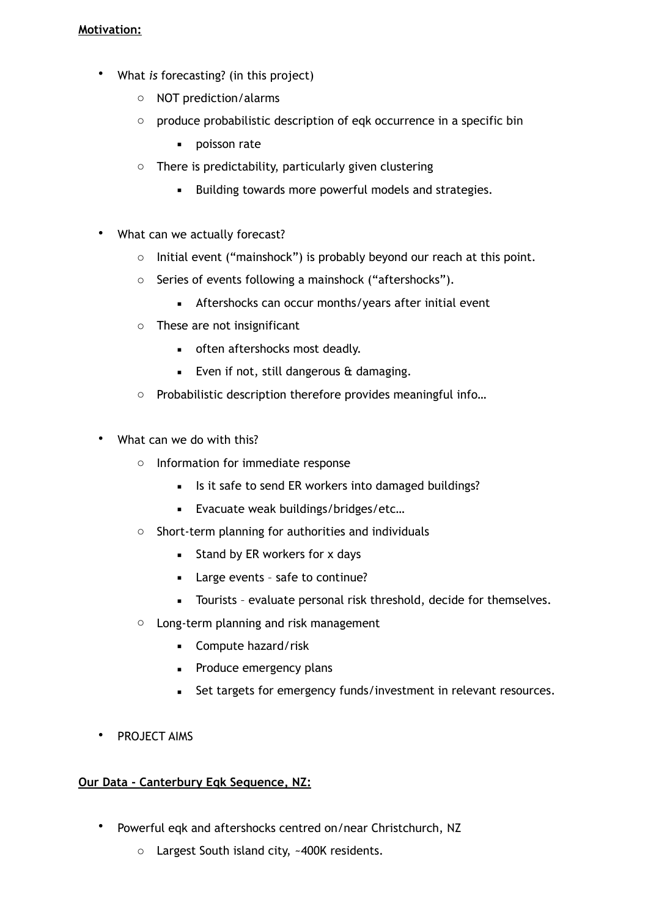# **Motivation:**

- What *is* forecasting? (in this project)
	- o NOT prediction/alarms
	- o produce probabilistic description of eqk occurrence in a specific bin
		- poisson rate
	- $\circ$  There is predictability, particularly given clustering
		- Building towards more powerful models and strategies.
- What can we actually forecast?
	- o Initial event ("mainshock") is probably beyond our reach at this point.
	- o Series of events following a mainshock ("aftershocks").
		- **EXECUTE:** Aftershocks can occur months/years after initial event
	- o These are not insignificant
		- **•** often aftershocks most deadly.
		- **Even if not, still dangerous**  $\hat{\mathbf{t}}$  **damaging.**
	- o Probabilistic description therefore provides meaningful info…
- What can we do with this?
	- o Information for immediate response
		- **EXECT** Is it safe to send ER workers into damaged buildings?
		- **Evacuate weak buildings/bridges/etc...**
	- o Short-term planning for authorities and individuals
		- **EXECUTE:** Stand by ER workers for x days
		- Large events safe to continue?
		- **EXEC** Tourists evaluate personal risk threshold, decide for themselves.
	- o Long-term planning and risk management
		- Compute hazard/risk
		- **•** Produce emergency plans
		- Set targets for emergency funds/investment in relevant resources.
- PROJECT AIMS

# **Our Data - Canterbury Eqk Sequence, NZ:**

- Powerful eqk and aftershocks centred on/near Christchurch, NZ
	- o Largest South island city, ~400K residents.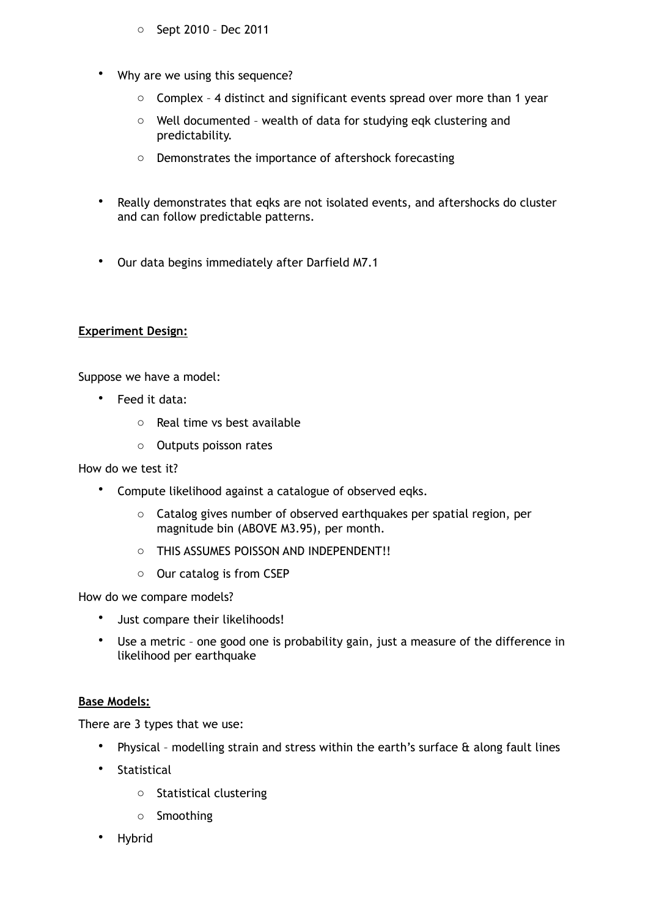- o Sept 2010 Dec 2011
- Why are we using this sequence?
	- $\circ$  Complex 4 distinct and significant events spread over more than 1 year
	- o Well documented wealth of data for studying eqk clustering and predictability.
	- o Demonstrates the importance of aftershock forecasting
- Really demonstrates that eqks are not isolated events, and aftershocks do cluster and can follow predictable patterns.
- Our data begins immediately after Darfield M7.1

### **Experiment Design:**

Suppose we have a model:

- Feed it data:
	- o Real time vs best available
	- o Outputs poisson rates

How do we test it?

- Compute likelihood against a catalogue of observed eqks.
	- o Catalog gives number of observed earthquakes per spatial region, per magnitude bin (ABOVE M3.95), per month.
	- o THIS ASSUMES POISSON AND INDEPENDENT!!
	- o Our catalog is from CSEP

How do we compare models?

- Just compare their likelihoods!
- Use a metric one good one is probability gain, just a measure of the difference in likelihood per earthquake

# **Base Models:**

There are 3 types that we use:

- Physical modelling strain and stress within the earth's surface & along fault lines
- Statistical
	- o Statistical clustering
	- o Smoothing
- Hybrid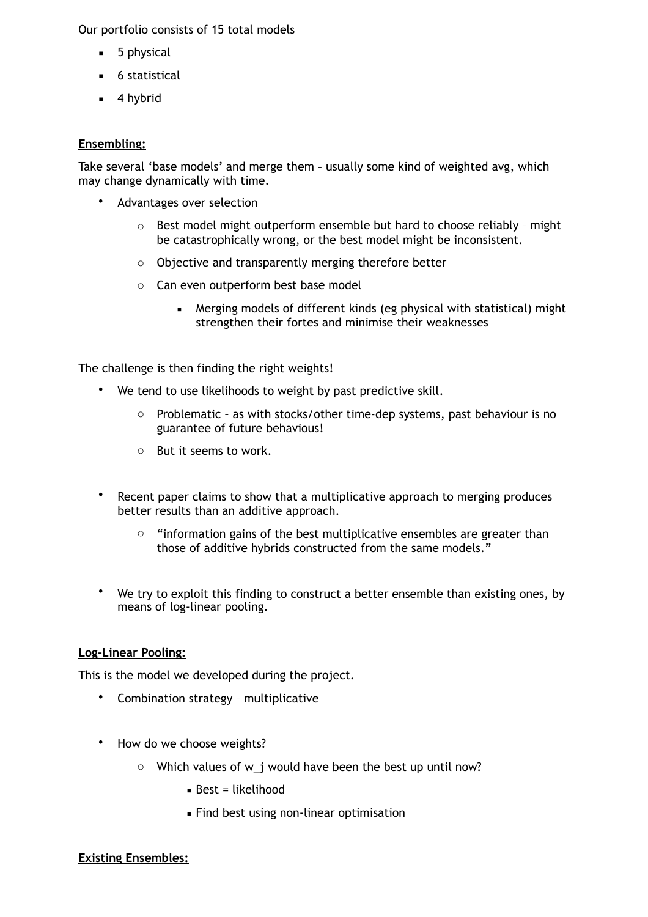Our portfolio consists of 15 total models

- **■** 5 physical
- **■** 6 statistical
- 4 hybrid

### **Ensembling:**

Take several 'base models' and merge them – usually some kind of weighted avg, which may change dynamically with time.

- Advantages over selection
	- $\circ$  Best model might outperform ensemble but hard to choose reliably might be catastrophically wrong, or the best model might be inconsistent.
	- o Objective and transparently merging therefore better
	- o Can even outperform best base model
		- Merging models of different kinds (eg physical with statistical) might strengthen their fortes and minimise their weaknesses

The challenge is then finding the right weights!

- We tend to use likelihoods to weight by past predictive skill.
	- o Problematic as with stocks/other time-dep systems, past behaviour is no guarantee of future behavious!
	- o But it seems to work.
- Recent paper claims to show that a multiplicative approach to merging produces better results than an additive approach.
	- $\circ$  "information gains of the best multiplicative ensembles are greater than those of additive hybrids constructed from the same models."
- We try to exploit this finding to construct a better ensemble than existing ones, by means of log-linear pooling.

#### **Log-Linear Pooling:**

This is the model we developed during the project.

- Combination strategy multiplicative
- How do we choose weights?
	- o Which values of w\_j would have been the best up until now?
		- $\blacksquare$  Best = likelihood
		- **Eind best using non-linear optimisation**

### **Existing Ensembles:**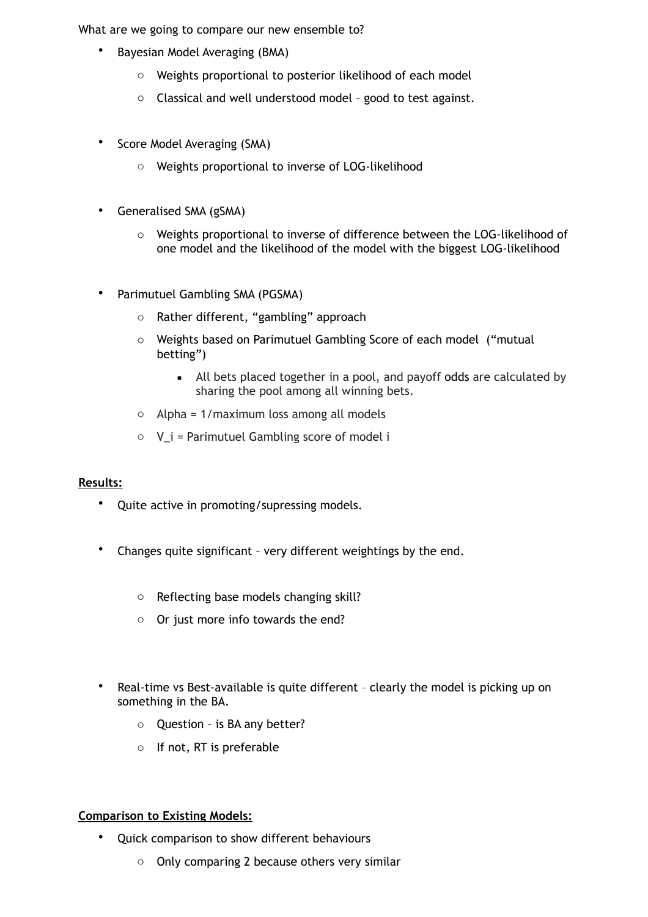What are we going to compare our new ensemble to?

- Bayesian Model Averaging (BMA)
	- o Weights proportional to posterior likelihood of each model
	- o Classical and well understood model good to test against.
- Score Model Averaging (SMA)
	- o Weights proportional to inverse of LOG-likelihood
- Generalised SMA (gSMA)
	- o Weights proportional to inverse of difference between the LOG-likelihood of one model and the likelihood of the model with the biggest LOG-likelihood
- Parimutuel Gambling SMA (PGSMA)
	- o Rather different, "gambling" approach
	- o Weights based on Parimutuel Gambling Score of each model ("mutual betting")
		- All bets placed together in a pool, and payoff odds are calculated by sharing the pool among all winning bets.
	- o Alpha = 1/maximum loss among all models
	- $\circ$  V i = Parimutuel Gambling score of model i

### **Results:**

- Quite active in promoting/supressing models.
- Changes quite significant very different weightings by the end.
	- o Reflecting base models changing skill?
	- o Or just more info towards the end?
- Real-time vs Best-available is quite different clearly the model is picking up on something in the BA.
	- o Question is BA any better?
	- o If not, RT is preferable

### **Comparison to Existing Models:**

- Quick comparison to show different behaviours
	- o Only comparing 2 because others very similar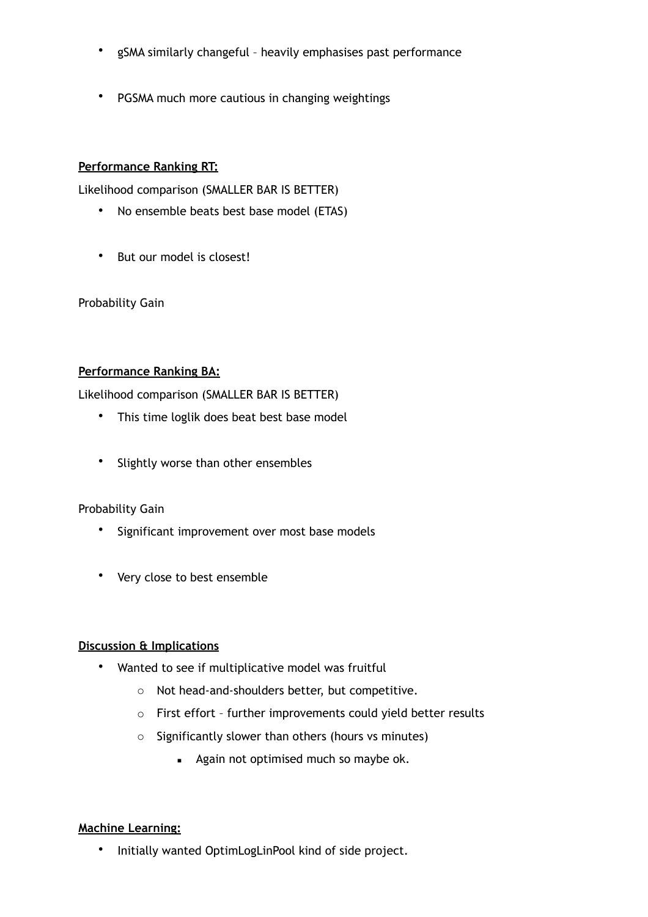- gSMA similarly changeful heavily emphasises past performance
- PGSMA much more cautious in changing weightings

# **Performance Ranking RT:**

Likelihood comparison (SMALLER BAR IS BETTER)

- No ensemble beats best base model (ETAS)
- But our model is closest!

Probability Gain

# **Performance Ranking BA:**

Likelihood comparison (SMALLER BAR IS BETTER)

- This time loglik does beat best base model
- Slightly worse than other ensembles

# Probability Gain

- Significant improvement over most base models
- Very close to best ensemble

### **Discussion & Implications**

- Wanted to see if multiplicative model was fruitful
	- o Not head-and-shoulders better, but competitive.
	- o First effort further improvements could yield better results
	- o Significantly slower than others (hours vs minutes)
		- **Again not optimised much so maybe ok.**

### **Machine Learning:**

• Initially wanted OptimLogLinPool kind of side project.